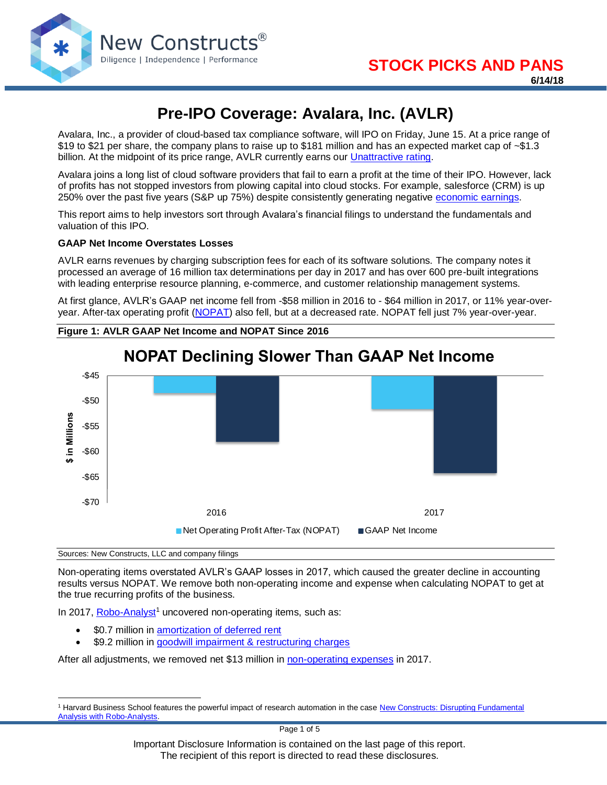

# **Pre-IPO Coverage: Avalara, Inc. (AVLR)**

Avalara, Inc., a provider of cloud-based tax compliance software, will IPO on Friday, June 15. At a price range of \$19 to \$21 per share, the company plans to raise up to \$181 million and has an expected market cap of ~\$1.3 billion. At the midpoint of its price range, AVLR currently earns our [Unattractive rating.](https://www.newconstructs.com/stock-rating-methodology/)

Avalara joins a long list of cloud software providers that fail to earn a profit at the time of their IPO. However, lack of profits has not stopped investors from plowing capital into cloud stocks. For example, salesforce (CRM) is up 250% over the past five years (S&P up 75%) despite consistently generating negative [economic earnings.](https://www.newconstructs.com/education/education-close-the-loopholes/education-economic-earnings/)

This report aims to help investors sort through Avalara's financial filings to understand the fundamentals and valuation of this IPO.

#### **GAAP Net Income Overstates Losses**

AVLR earns revenues by charging subscription fees for each of its software solutions. The company notes it processed an average of 16 million tax determinations per day in 2017 and has over 600 pre-built integrations with leading enterprise resource planning, e-commerce, and customer relationship management systems.

At first glance, AVLR's GAAP net income fell from -\$58 million in 2016 to - \$64 million in 2017, or 11% year-overyear. After-tax operating profit [\(NOPAT\)](https://www.newconstructs.com/education-net-operating-profit/) also fell, but at a decreased rate. NOPAT fell just 7% year-over-year.

**Figure 1: AVLR GAAP Net Income and NOPAT Since 2016**



# **NOPAT Declining Slower Than GAAP Net Income**

Sources: New Constructs, LLC and company filings

 $\overline{a}$ 

Non-operating items overstated AVLR's GAAP losses in 2017, which caused the greater decline in accounting results versus NOPAT. We remove both non-operating income and expense when calculating NOPAT to get at the true recurring profits of the business.

In 2017, [Robo-Analyst](https://www.newconstructs.com/technology/)<sup>1</sup> uncovered non-operating items, such as:

- \$0.7 million in [amortization of deferred rent](https://www.newconstructs.com/wp-content/uploads/2018/06/NewConstructs_Models_AVLR_DeferredRent_2018-06-15.png)
- \$9.2 million in [goodwill impairment & restructuring charges](https://www.newconstructs.com/wp-content/uploads/2018/06/NewConstructs_Models_GoodwillImpairment_2018-06-15.png)

After all adjustments, we removed net \$13 million i[n non-operating expenses](https://www.newconstructs.com/reported-net-non-operating-items/) in 2017.

<sup>&</sup>lt;sup>1</sup> Harvard Business School features the powerful impact of research automation in the case New Constructs: Disrupting Fundamental [Analysis with Robo-Analysts.](https://hbr.org/product/new-constructs-disrupting-fundamental-analysis-with-robo-analysts/118068-PDF-ENG)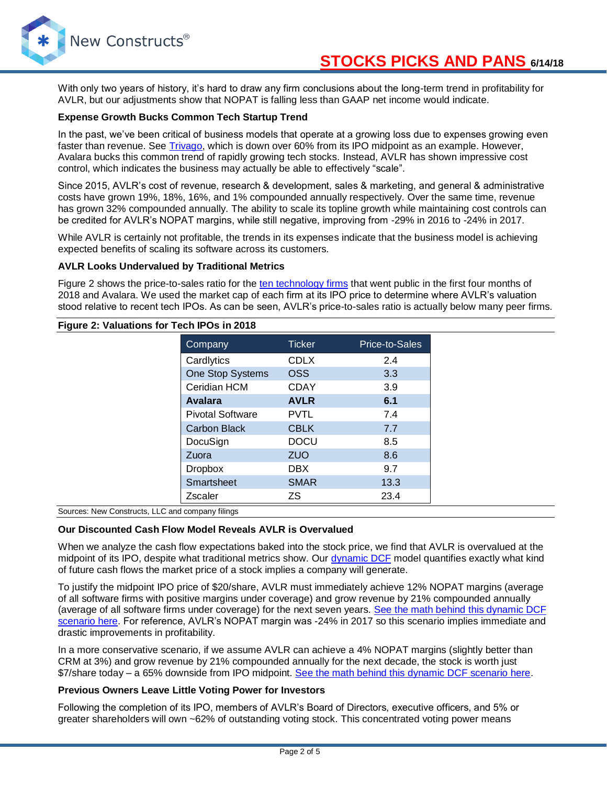

## **STOCKS PICKS AND PANS 6/14/18**

With only two years of history, it's hard to draw any firm conclusions about the long-term trend in profitability for AVLR, but our adjustments show that NOPAT is falling less than GAAP net income would indicate.

#### **Expense Growth Bucks Common Tech Startup Trend**

In the past, we've been critical of business models that operate at a growing loss due to expenses growing even faster than revenue. See [Trivago,](https://www.newconstructs.com/trivago-trvg-let-this-ipo-travel-alone/) which is down over 60% from its IPO midpoint as an example. However, Avalara bucks this common trend of rapidly growing tech stocks. Instead, AVLR has shown impressive cost control, which indicates the business may actually be able to effectively "scale".

Since 2015, AVLR's cost of revenue, research & development, sales & marketing, and general & administrative costs have grown 19%, 18%, 16%, and 1% compounded annually respectively. Over the same time, revenue has grown 32% compounded annually. The ability to scale its topline growth while maintaining cost controls can be credited for AVLR's NOPAT margins, while still negative, improving from -29% in 2016 to -24% in 2017.

While AVLR is certainly not profitable, the trends in its expenses indicate that the business model is achieving expected benefits of scaling its software across its customers.

#### **AVLR Looks Undervalued by Traditional Metrics**

Figure 2 shows the price-to-sales ratio for the [ten technology firms](https://www.ciodive.com/news/technology-ipo-2018-Q1-software/522460/) that went public in the first four months of 2018 and Avalara. We used the market cap of each firm at its IPO price to determine where AVLR's valuation stood relative to recent tech IPOs. As can be seen, AVLR's price-to-sales ratio is actually below many peer firms.

| Figure 2: Valuations for Tech IPOs in 2018 |                         |               |                |
|--------------------------------------------|-------------------------|---------------|----------------|
|                                            | Company                 | <b>Ticker</b> | Price-to-Sales |
|                                            | Cardlytics              | <b>CDLX</b>   | 2.4            |
|                                            | One Stop Systems        | <b>OSS</b>    | 3.3            |
|                                            | Ceridian HCM            | <b>CDAY</b>   | 3.9            |
|                                            | <b>Avalara</b>          | <b>AVLR</b>   | 6.1            |
|                                            | <b>Pivotal Software</b> | <b>PVTL</b>   | 7.4            |
|                                            | <b>Carbon Black</b>     | <b>CBLK</b>   | 7.7            |
|                                            | DocuSign                | <b>DOCU</b>   | 8.5            |
|                                            | Zuora                   | <b>ZUO</b>    | 8.6            |
|                                            | <b>Dropbox</b>          | <b>DBX</b>    | 9.7            |
|                                            | Smartsheet              | <b>SMAR</b>   | 13.3           |
|                                            | Zscaler                 | ΖS            | 23.4           |

Sources: New Constructs, LLC and company filings

#### **Our Discounted Cash Flow Model Reveals AVLR is Overvalued**

When we analyze the cash flow expectations baked into the stock price, we find that AVLR is overvalued at the midpoint of its IPO, despite what traditional metrics show. Our [dynamic DCF](https://www.newconstructs.com/education-close-the-loopholes-how-our-dcf-works/) model quantifies exactly what kind of future cash flows the market price of a stock implies a company will generate.

To justify the midpoint IPO price of \$20/share, AVLR must immediately achieve 12% NOPAT margins (average of all software firms with positive margins under coverage) and grow revenue by 21% compounded annually (average of all software firms under coverage) for the next seven years. [See the math behind this dynamic DCF](https://www.newconstructs.com/wp-content/uploads/2018/06/NewConstructs_DCF_AVLRjustification_2018-06-15.png)  [scenario here.](https://www.newconstructs.com/wp-content/uploads/2018/06/NewConstructs_DCF_AVLRjustification_2018-06-15.png) For reference, AVLR's NOPAT margin was -24% in 2017 so this scenario implies immediate and drastic improvements in profitability.

In a more conservative scenario, if we assume AVLR can achieve a 4% NOPAT margins (slightly better than CRM at 3%) and grow revenue by 21% compounded annually for the next decade, the stock is worth just \$7/share today – a 65% downside from IPO midpoint. [See the math behind this dynamic DCF scenario here.](https://www.newconstructs.com/wp-content/uploads/2018/06/NewConstructs_DCF_AVLRvaluation_2018-06-15.png)

#### **Previous Owners Leave Little Voting Power for Investors**

Following the completion of its IPO, members of AVLR's Board of Directors, executive officers, and 5% or greater shareholders will own ~62% of outstanding voting stock. This concentrated voting power means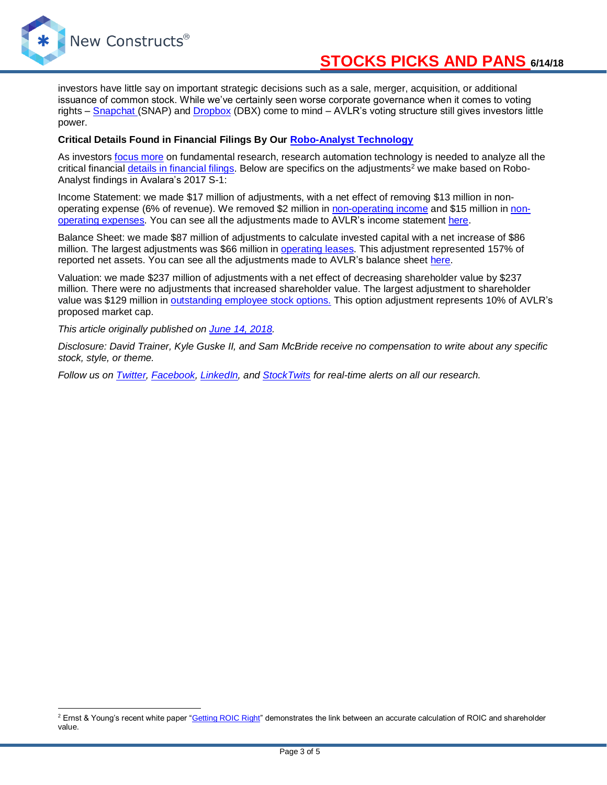

 $\overline{a}$ 

investors have little say on important strategic decisions such as a sale, merger, acquisition, or additional issuance of common stock. While we've certainly seen worse corporate governance when it comes to voting rights – [Snapchat](https://www.newconstructs.com/danger-zone-snap-inc-snap/) (SNAP) and [Dropbox](https://www.newconstructs.com/dont-buy-what-smart-money-sells/) (DBX) come to mind – AVLR's voting structure still gives investors little power.

#### **Critical Details Found in Financial Filings By Our [Robo-Analyst Technology](https://www.newconstructs.com/harvard-publishes-case-study-on-our-robo-analyst-technology/)**

As investors [focus more](https://www.newconstructs.com/iss-buying-eva-dimensions-signals-more-focus-on-fundamental-research/) on fundamental research, research automation technology is needed to analyze all the critical financial [details in financial filings.](https://www.newconstructs.com/danger-zone-fund-managers-that-dont-analyze-details-in-10-ks/) Below are specifics on the adjustments<sup>2</sup> we make based on Robo-Analyst findings in Avalara's 2017 S-1:

Income Statement: we made \$17 million of adjustments, with a net effect of removing \$13 million in nonoperating expense (6% of revenue). We removed \$2 million in [non-operating income](https://www.newconstructs.com/non-operating-income-hidden-in-operating-earnings/) and \$15 million in [non](https://www.newconstructs.com/non-operating-expenses-hidden-in-operating-earnings/)[operating expenses.](https://www.newconstructs.com/non-operating-expenses-hidden-in-operating-earnings/) You can see all the adjustments made to AVLR's income statement [here.](https://www.newconstructs.com/wp-content/uploads/2018/06/NewConstructs_Models_AVLR_IncomeStatementAdjustments_2018-06-15.png)

Balance Sheet: we made \$87 million of adjustments to calculate invested capital with a net increase of \$86 million. The largest adjustments was \$66 million in [operating leases.](https://www.newconstructs.com/off-balance-sheet-debt/) This adjustment represented 157% of reported net assets. You can see all the adjustments made to AVLR's balance sheet [here.](https://www.newconstructs.com/wp-content/uploads/2018/06/NewConstructs_Models_AVLR_BalanceSheetAdjustments_2018-06-15.png)

Valuation: we made \$237 million of adjustments with a net effect of decreasing shareholder value by \$237 million. There were no adjustments that increased shareholder value. The largest adjustment to shareholder value was \$129 million in [outstanding employee stock options.](https://www.newconstructs.com/outstanding-employee-stock-options/) This option adjustment represents 10% of AVLR's proposed market cap.

*This article originally published on [June 14, 2018.](https://www.newconstructs.com/pre-ipo-coverage-avalara-inc-avlr)*

*Disclosure: David Trainer, Kyle Guske II, and Sam McBride receive no compensation to write about any specific stock, style, or theme.*

*Follow us on [Twitter,](https://twitter.com/NewConstructs) [Facebook,](https://www.facebook.com/newconstructsllc/) [LinkedIn,](https://www.linkedin.com/company/new-constructs) and [StockTwits](https://stocktwits.com/dtrainer_NewConstructs) for real-time alerts on all our research.* 

<sup>&</sup>lt;sup>2</sup> Ernst & Young's recent white paper ["Getting ROIC Right"](https://www.newconstructs.com/ernst-young-proves-superiority-of-our-data-roic/) demonstrates the link between an accurate calculation of ROIC and shareholder value.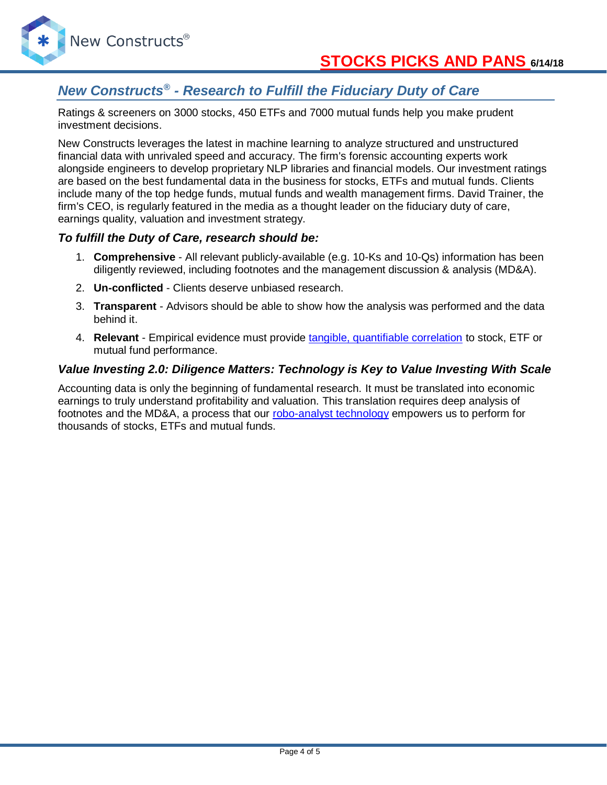

New Constructs®

## *New Constructs® - Research to Fulfill the Fiduciary Duty of Care*

Ratings & screeners on 3000 stocks, 450 ETFs and 7000 mutual funds help you make prudent investment decisions.

New Constructs leverages the latest in machine learning to analyze structured and unstructured financial data with unrivaled speed and accuracy. The firm's forensic accounting experts work alongside engineers to develop proprietary NLP libraries and financial models. Our investment ratings are based on the best fundamental data in the business for stocks, ETFs and mutual funds. Clients include many of the top hedge funds, mutual funds and wealth management firms. David Trainer, the firm's CEO, is regularly featured in the media as a thought leader on the fiduciary duty of care, earnings quality, valuation and investment strategy.

### *To fulfill the Duty of Care, research should be:*

- 1. **Comprehensive** All relevant publicly-available (e.g. 10-Ks and 10-Qs) information has been diligently reviewed, including footnotes and the management discussion & analysis (MD&A).
- 2. **Un-conflicted** Clients deserve unbiased research.
- 3. **Transparent** Advisors should be able to show how the analysis was performed and the data behind it.
- 4. **Relevant** Empirical evidence must provide [tangible, quantifiable correlation](https://www.newconstructs.com/roic-paradigm-linking-corporate-performance-valuation/) to stock, ETF or mutual fund performance.

### *Value Investing 2.0: Diligence Matters: Technology is Key to Value Investing With Scale*

Accounting data is only the beginning of fundamental research. It must be translated into economic earnings to truly understand profitability and valuation. This translation requires deep analysis of footnotes and the MD&A, a process that our [robo-analyst technology](https://www.newconstructs.com/technology/) empowers us to perform for thousands of stocks, ETFs and mutual funds.